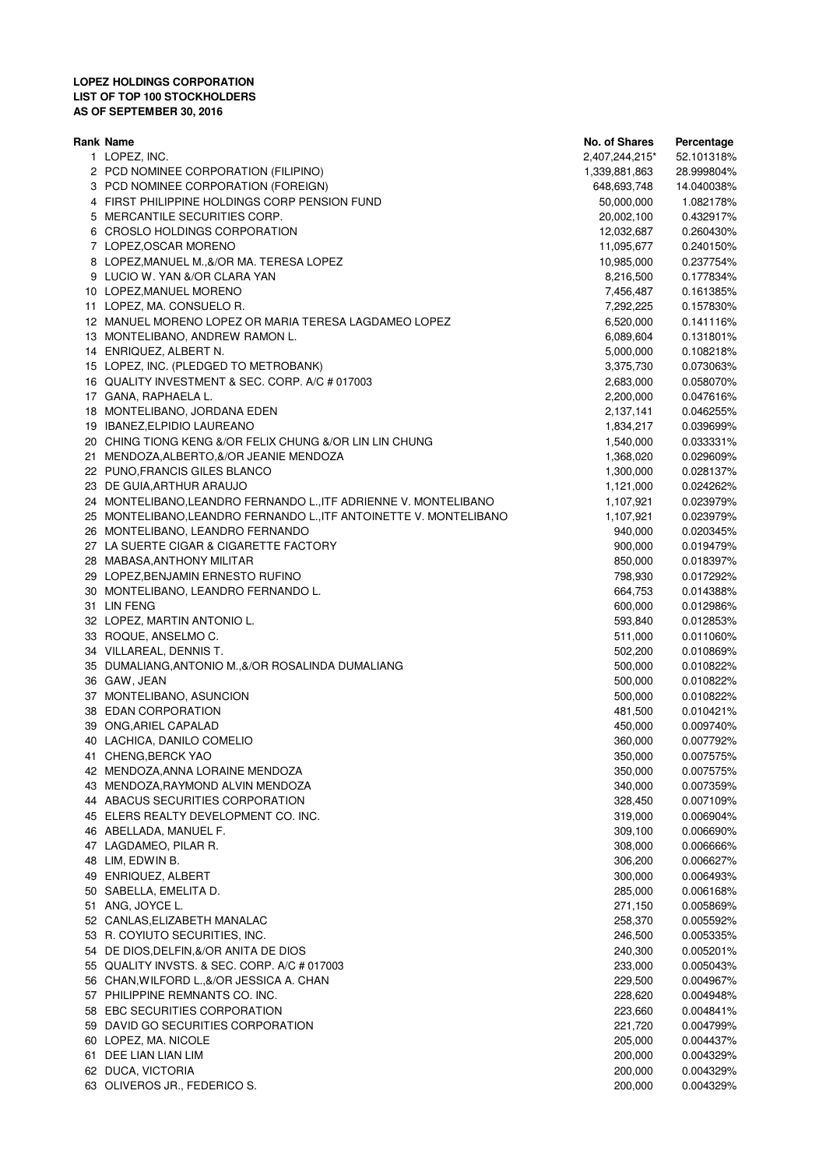| Rank Name                                                          | No. of Shares  | Percentage |
|--------------------------------------------------------------------|----------------|------------|
| 1 LOPEZ, INC.                                                      | 2,407,244,215* | 52.101318% |
| 2 PCD NOMINEE CORPORATION (FILIPINO)                               | 1,339,881,863  | 28.999804% |
| 3 PCD NOMINEE CORPORATION (FOREIGN)                                | 648,693,748    | 14.040038% |
| 4 FIRST PHILIPPINE HOLDINGS CORP PENSION FUND                      | 50,000,000     | 1.082178%  |
| 5 MERCANTILE SECURITIES CORP.                                      | 20,002,100     | 0.432917%  |
| 6 CROSLO HOLDINGS CORPORATION                                      | 12,032,687     | 0.260430%  |
| 7 LOPEZ, OSCAR MORENO                                              | 11,095,677     | 0.240150%  |
| 8 LOPEZ, MANUEL M., &/OR MA. TERESA LOPEZ                          | 10,985,000     | 0.237754%  |
| 9 LUCIO W. YAN &/OR CLARA YAN                                      | 8,216,500      | 0.177834%  |
| 10 LOPEZ, MANUEL MORENO                                            | 7,456,487      | 0.161385%  |
| 11 LOPEZ, MA. CONSUELO R.                                          | 7,292,225      | 0.157830%  |
| 12 MANUEL MORENO LOPEZ OR MARIA TERESA LAGDAMEO LOPEZ              | 6,520,000      | 0.141116%  |
| 13 MONTELIBANO, ANDREW RAMON L.                                    | 6,089,604      | 0.131801%  |
| 14 ENRIQUEZ, ALBERT N.                                             | 5,000,000      | 0.108218%  |
| 15 LOPEZ, INC. (PLEDGED TO METROBANK)                              | 3,375,730      | 0.073063%  |
| 16 QUALITY INVESTMENT & SEC. CORP. A/C # 017003                    | 2,683,000      | 0.058070%  |
| 17 GANA, RAPHAELA L.                                               | 2,200,000      | 0.047616%  |
| 18 MONTELIBANO, JORDANA EDEN                                       | 2,137,141      | 0.046255%  |
| 19 IBANEZ, ELPIDIO LAUREANO                                        | 1,834,217      | 0.039699%  |
| 20 CHING TIONG KENG &/OR FELIX CHUNG &/OR LIN LIN CHUNG            | 1,540,000      | 0.033331%  |
| 21 MENDOZA, ALBERTO, &/OR JEANIE MENDOZA                           | 1,368,020      | 0.029609%  |
| 22 PUNO, FRANCIS GILES BLANCO                                      | 1,300,000      | 0.028137%  |
| 23 DE GUIA, ARTHUR ARAUJO                                          | 1,121,000      | 0.024262%  |
| 24 MONTELIBANO, LEANDRO FERNANDO L., ITF ADRIENNE V. MONTELIBANO   | 1,107,921      | 0.023979%  |
| 25 MONTELIBANO, LEANDRO FERNANDO L., ITF ANTOINETTE V. MONTELIBANO | 1,107,921      | 0.023979%  |
| 26 MONTELIBANO, LEANDRO FERNANDO                                   | 940,000        | 0.020345%  |
| 27 LA SUERTE CIGAR & CIGARETTE FACTORY                             | 900,000        | 0.019479%  |
| 28 MABASA, ANTHONY MILITAR                                         | 850,000        | 0.018397%  |
| 29 LOPEZ, BENJAMIN ERNESTO RUFINO                                  | 798,930        | 0.017292%  |
| 30 MONTELIBANO, LEANDRO FERNANDO L.                                | 664,753        | 0.014388%  |
| 31 LIN FENG                                                        | 600,000        | 0.012986%  |
| 32 LOPEZ, MARTIN ANTONIO L.                                        | 593,840        | 0.012853%  |
| 33 ROQUE, ANSELMO C.                                               | 511,000        | 0.011060%  |
| 34 VILLAREAL, DENNIS T.                                            | 502,200        | 0.010869%  |
| 35 DUMALIANG, ANTONIO M., &/OR ROSALINDA DUMALIANG                 | 500,000        | 0.010822%  |
| 36 GAW, JEAN                                                       | 500,000        | 0.010822%  |
| 37 MONTELIBANO, ASUNCION                                           | 500,000        | 0.010822%  |
| 38 EDAN CORPORATION                                                | 481,500        | 0.010421%  |
| 39 ONG, ARIEL CAPALAD                                              | 450,000        | 0.009740%  |
| 40 LACHICA, DANILO COMELIO                                         | 360,000        | 0.007792%  |
| 41 CHENG, BERCK YAO                                                | 350,000        | 0.007575%  |
| 42 MENDOZA, ANNA LORAINE MENDOZA                                   | 350,000        | 0.007575%  |
| 43 MENDOZA, RAYMOND ALVIN MENDOZA                                  | 340,000        | 0.007359%  |
| 44 ABACUS SECURITIES CORPORATION                                   | 328,450        | 0.007109%  |
| 45 ELERS REALTY DEVELOPMENT CO. INC.                               | 319,000        | 0.006904%  |
| 46 ABELLADA, MANUEL F.                                             | 309,100        | 0.006690%  |
| 47 LAGDAMEO, PILAR R.                                              | 308,000        | 0.006666%  |
| 48 LIM, EDWIN B.                                                   | 306,200        | 0.006627%  |
| 49 ENRIQUEZ, ALBERT                                                | 300,000        | 0.006493%  |
| 50 SABELLA, EMELITA D.                                             | 285,000        | 0.006168%  |
| 51 ANG, JOYCE L.                                                   | 271,150        | 0.005869%  |
| 52 CANLAS, ELIZABETH MANALAC                                       | 258,370        | 0.005592%  |
| 53 R. COYIUTO SECURITIES, INC.                                     | 246,500        | 0.005335%  |
| 54 DE DIOS, DELFIN, & / OR ANITA DE DIOS                           | 240,300        | 0.005201%  |
| 55 QUALITY INVSTS. & SEC. CORP. A/C # 017003                       | 233,000        | 0.005043%  |
| 56 CHAN, WILFORD L., &/OR JESSICA A. CHAN                          | 229,500        | 0.004967%  |
| 57 PHILIPPINE REMNANTS CO. INC.                                    | 228,620        | 0.004948%  |
| 58 EBC SECURITIES CORPORATION                                      | 223,660        | 0.004841%  |
| 59 DAVID GO SECURITIES CORPORATION                                 | 221,720        | 0.004799%  |
| 60 LOPEZ, MA. NICOLE                                               | 205,000        | 0.004437%  |
| 61 DEE LIAN LIAN LIM                                               | 200,000        | 0.004329%  |
| 62 DUCA, VICTORIA                                                  | 200,000        | 0.004329%  |
| 63 OLIVEROS JR., FEDERICO S.                                       | 200,000        | 0.004329%  |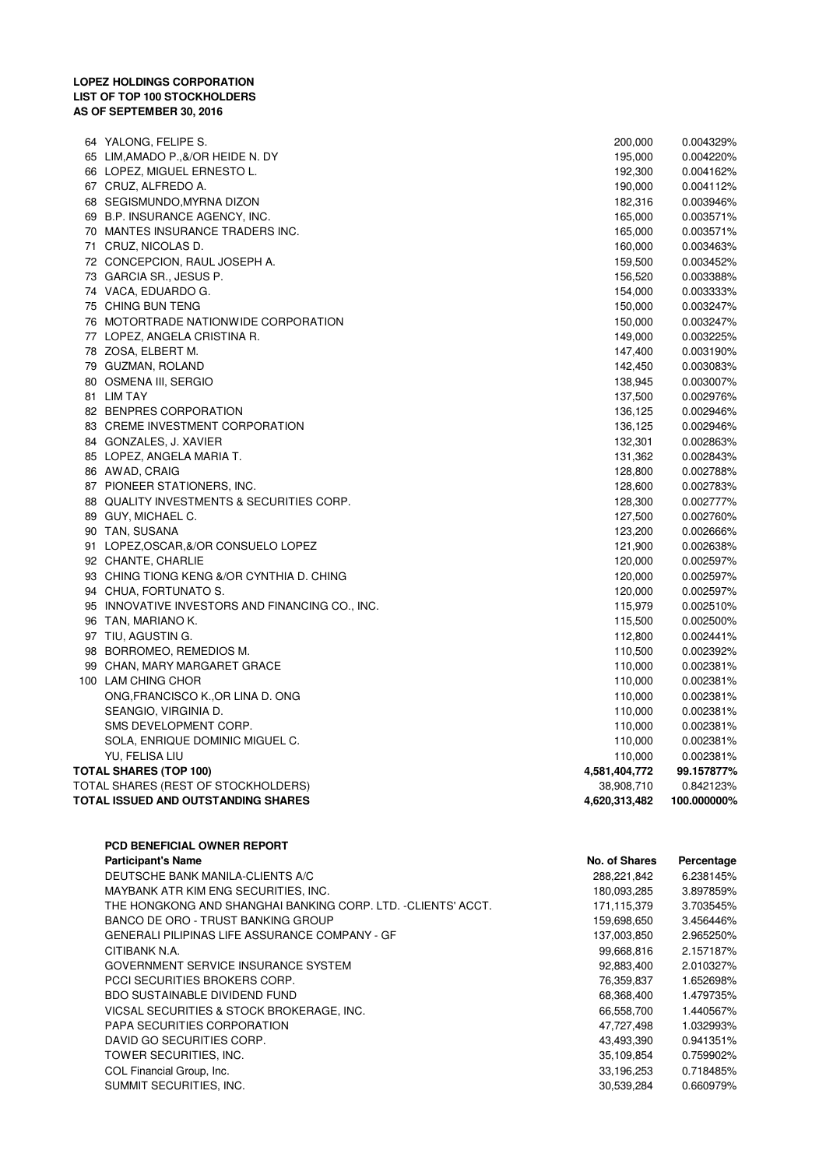| 64 YALONG, FELIPE S.                            | 200,000       | 0.004329%   |
|-------------------------------------------------|---------------|-------------|
| 65 LIM, AMADO P., & OR HEIDE N. DY              | 195,000       | 0.004220%   |
| 66 LOPEZ, MIGUEL ERNESTO L.                     | 192,300       | 0.004162%   |
| 67 CRUZ, ALFREDO A.                             | 190,000       | 0.004112%   |
| 68 SEGISMUNDO, MYRNA DIZON                      | 182,316       | 0.003946%   |
| 69 B.P. INSURANCE AGENCY, INC.                  | 165,000       | 0.003571%   |
| 70 MANTES INSURANCE TRADERS INC.                | 165,000       | 0.003571%   |
| 71 CRUZ, NICOLAS D.                             | 160,000       | 0.003463%   |
| 72 CONCEPCION, RAUL JOSEPH A.                   | 159,500       | 0.003452%   |
| 73 GARCIA SR., JESUS P.                         | 156,520       | 0.003388%   |
| 74 VACA, EDUARDO G.                             | 154,000       | 0.003333%   |
| 75 CHING BUN TENG                               | 150,000       | 0.003247%   |
| 76 MOTORTRADE NATIONWIDE CORPORATION            | 150,000       | 0.003247%   |
| 77 LOPEZ, ANGELA CRISTINA R.                    | 149,000       | 0.003225%   |
| 78 ZOSA, ELBERT M.                              | 147,400       | 0.003190%   |
| 79 GUZMAN, ROLAND                               | 142,450       | 0.003083%   |
| 80 OSMENA III, SERGIO                           | 138,945       | 0.003007%   |
| 81 LIM TAY                                      | 137,500       | 0.002976%   |
| 82 BENPRES CORPORATION                          | 136,125       | 0.002946%   |
| 83 CREME INVESTMENT CORPORATION                 | 136,125       | 0.002946%   |
| 84 GONZALES, J. XAVIER                          | 132,301       | 0.002863%   |
| 85 LOPEZ, ANGELA MARIA T.                       | 131,362       | 0.002843%   |
| 86 AWAD, CRAIG                                  | 128,800       | 0.002788%   |
| 87 PIONEER STATIONERS, INC.                     | 128,600       | 0.002783%   |
| 88 QUALITY INVESTMENTS & SECURITIES CORP.       | 128,300       | 0.002777%   |
| 89 GUY, MICHAEL C.                              | 127,500       | 0.002760%   |
| 90 TAN, SUSANA                                  | 123,200       | 0.002666%   |
| 91 LOPEZ, OSCAR, &/OR CONSUELO LOPEZ            | 121,900       | 0.002638%   |
| 92 CHANTE, CHARLIE                              | 120,000       | 0.002597%   |
| 93 CHING TIONG KENG &/OR CYNTHIA D. CHING       | 120,000       | 0.002597%   |
| 94 CHUA, FORTUNATO S.                           | 120,000       | 0.002597%   |
| 95 INNOVATIVE INVESTORS AND FINANCING CO., INC. | 115,979       | 0.002510%   |
| 96 TAN, MARIANO K.                              | 115,500       | 0.002500%   |
| 97 TIU, AGUSTIN G.                              | 112,800       | 0.002441%   |
| 98 BORROMEO, REMEDIOS M.                        | 110,500       | 0.002392%   |
| 99 CHAN, MARY MARGARET GRACE                    | 110,000       | 0.002381%   |
| 100 LAM CHING CHOR                              | 110,000       | 0.002381%   |
| ONG, FRANCISCO K., OR LINA D. ONG               | 110,000       | 0.002381%   |
| SEANGIO, VIRGINIA D.                            | 110,000       | 0.002381%   |
| SMS DEVELOPMENT CORP.                           | 110,000       | 0.002381%   |
| SOLA, ENRIQUE DOMINIC MIGUEL C.                 | 110,000       | 0.002381%   |
| YU, FELISA LIU                                  | 110,000       | 0.002381%   |
| <b>TOTAL SHARES (TOP 100)</b>                   | 4,581,404,772 | 99.157877%  |
| TOTAL SHARES (REST OF STOCKHOLDERS)             | 38,908,710    | 0.842123%   |
| TOTAL ISSUED AND OUTSTANDING SHARES             | 4,620,313,482 | 100.000000% |

# **PCD BENEFICIAL OWNER REPORT**

| <b>FUD BENEFIURE OWNER REFURT</b>                            |               |            |
|--------------------------------------------------------------|---------------|------------|
| <b>Participant's Name</b>                                    | No. of Shares | Percentage |
| DEUTSCHE BANK MANILA-CLIENTS A/C                             | 288,221,842   | 6.238145%  |
| MAYBANK ATR KIM ENG SECURITIES, INC.                         | 180,093,285   | 3.897859%  |
| THE HONGKONG AND SHANGHAI BANKING CORP. LTD. -CLIENTS' ACCT. | 171.115.379   | 3.703545%  |
| BANCO DE ORO - TRUST BANKING GROUP                           | 159,698,650   | 3.456446%  |
| <b>GENERALI PILIPINAS LIFE ASSURANCE COMPANY - GF</b>        | 137,003,850   | 2.965250%  |
| CITIBANK N.A.                                                | 99,668,816    | 2.157187%  |
| GOVERNMENT SERVICE INSURANCE SYSTEM                          | 92,883,400    | 2.010327%  |
| PCCI SECURITIES BROKERS CORP.                                | 76.359.837    | 1.652698%  |
| BDO SUSTAINABLE DIVIDEND FUND                                | 68,368,400    | 1.479735%  |
| VICSAL SECURITIES & STOCK BROKERAGE, INC.                    | 66,558,700    | 1.440567%  |
| PAPA SECURITIES CORPORATION                                  | 47,727,498    | 1.032993%  |
| DAVID GO SECURITIES CORP.                                    | 43.493.390    | 0.941351%  |
| TOWER SECURITIES, INC.                                       | 35.109.854    | 0.759902%  |
| COL Financial Group, Inc.                                    | 33,196,253    | 0.718485%  |
| SUMMIT SECURITIES, INC.                                      | 30,539,284    | 0.660979%  |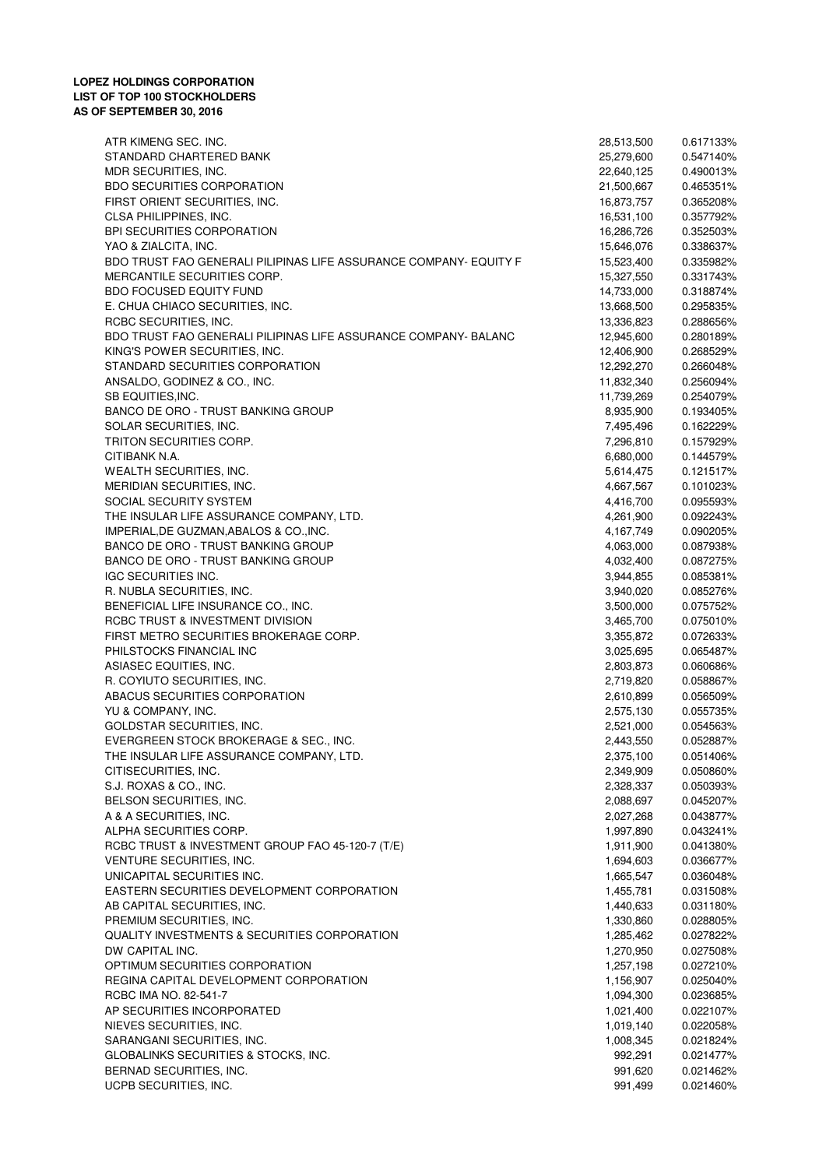| ATR KIMENG SEC. INC.                                              | 28,513,500  | 0.617133% |
|-------------------------------------------------------------------|-------------|-----------|
| STANDARD CHARTERED BANK                                           | 25,279,600  | 0.547140% |
| MDR SECURITIES, INC.                                              | 22,640,125  | 0.490013% |
| <b>BDO SECURITIES CORPORATION</b>                                 | 21,500,667  | 0.465351% |
| FIRST ORIENT SECURITIES, INC.                                     | 16,873,757  | 0.365208% |
| CLSA PHILIPPINES, INC.                                            | 16,531,100  | 0.357792% |
| BPI SECURITIES CORPORATION                                        | 16,286,726  | 0.352503% |
| YAO & ZIALCITA, INC.                                              | 15,646,076  | 0.338637% |
| BDO TRUST FAO GENERALI PILIPINAS LIFE ASSURANCE COMPANY- EQUITY F | 15,523,400  | 0.335982% |
| MERCANTILE SECURITIES CORP.                                       | 15,327,550  | 0.331743% |
| <b>BDO FOCUSED EQUITY FUND</b>                                    | 14,733,000  | 0.318874% |
| E. CHUA CHIACO SECURITIES, INC.                                   | 13,668,500  | 0.295835% |
| RCBC SECURITIES, INC.                                             | 13,336,823  | 0.288656% |
| BDO TRUST FAO GENERALI PILIPINAS LIFE ASSURANCE COMPANY- BALANC   | 12,945,600  | 0.280189% |
| KING'S POWER SECURITIES, INC.                                     | 12,406,900  | 0.268529% |
| STANDARD SECURITIES CORPORATION                                   |             |           |
|                                                                   | 12,292,270  | 0.266048% |
| ANSALDO, GODINEZ & CO., INC.                                      | 11,832,340  | 0.256094% |
| SB EQUITIES, INC.                                                 | 11,739,269  | 0.254079% |
| BANCO DE ORO - TRUST BANKING GROUP                                | 8,935,900   | 0.193405% |
| SOLAR SECURITIES, INC.                                            | 7,495,496   | 0.162229% |
| TRITON SECURITIES CORP.                                           | 7,296,810   | 0.157929% |
| CITIBANK N.A.                                                     | 6,680,000   | 0.144579% |
| WEALTH SECURITIES, INC.                                           | 5,614,475   | 0.121517% |
| MERIDIAN SECURITIES, INC.                                         | 4,667,567   | 0.101023% |
| SOCIAL SECURITY SYSTEM                                            | 4,416,700   | 0.095593% |
| THE INSULAR LIFE ASSURANCE COMPANY, LTD.                          | 4,261,900   | 0.092243% |
| IMPERIAL, DE GUZMAN, ABALOS & CO., INC.                           | 4, 167, 749 | 0.090205% |
| BANCO DE ORO - TRUST BANKING GROUP                                | 4,063,000   | 0.087938% |
| <b>BANCO DE ORO - TRUST BANKING GROUP</b>                         | 4,032,400   | 0.087275% |
| IGC SECURITIES INC.                                               | 3,944,855   | 0.085381% |
| R. NUBLA SECURITIES, INC.                                         | 3,940,020   | 0.085276% |
| BENEFICIAL LIFE INSURANCE CO., INC.                               | 3,500,000   | 0.075752% |
| RCBC TRUST & INVESTMENT DIVISION                                  | 3,465,700   | 0.075010% |
| FIRST METRO SECURITIES BROKERAGE CORP.                            | 3,355,872   | 0.072633% |
| PHILSTOCKS FINANCIAL INC                                          | 3,025,695   | 0.065487% |
| ASIASEC EQUITIES, INC.                                            | 2,803,873   | 0.060686% |
| R. COYIUTO SECURITIES, INC.                                       | 2,719,820   | 0.058867% |
| ABACUS SECURITIES CORPORATION                                     | 2,610,899   | 0.056509% |
| YU & COMPANY, INC.                                                | 2,575,130   | 0.055735% |
| GOLDSTAR SECURITIES, INC.                                         | 2,521,000   | 0.054563% |
| EVERGREEN STOCK BROKERAGE & SEC., INC.                            | 2,443,550   | 0.052887% |
| THE INSULAR LIFE ASSURANCE COMPANY, LTD.                          | 2,375,100   | 0.051406% |
| CITISECURITIES, INC.                                              | 2,349,909   | 0.050860% |
| S.J. ROXAS & CO., INC.                                            | 2,328,337   | 0.050393% |
| BELSON SECURITIES, INC.                                           | 2,088,697   | 0.045207% |
| A & A SECURITIES, INC.                                            | 2,027,268   | 0.043877% |
| ALPHA SECURITIES CORP.                                            | 1,997,890   | 0.043241% |
| RCBC TRUST & INVESTMENT GROUP FAO 45-120-7 (T/E)                  | 1,911,900   | 0.041380% |
| VENTURE SECURITIES, INC.                                          | 1,694,603   | 0.036677% |
| UNICAPITAL SECURITIES INC.                                        | 1,665,547   | 0.036048% |
| EASTERN SECURITIES DEVELOPMENT CORPORATION                        | 1,455,781   | 0.031508% |
| AB CAPITAL SECURITIES, INC.                                       | 1,440,633   | 0.031180% |
| PREMIUM SECURITIES, INC.                                          | 1,330,860   | 0.028805% |
| QUALITY INVESTMENTS & SECURITIES CORPORATION                      | 1,285,462   | 0.027822% |
| DW CAPITAL INC.                                                   |             |           |
|                                                                   | 1,270,950   | 0.027508% |
| OPTIMUM SECURITIES CORPORATION                                    | 1,257,198   | 0.027210% |
| REGINA CAPITAL DEVELOPMENT CORPORATION                            | 1,156,907   | 0.025040% |
| RCBC IMA NO. 82-541-7                                             | 1,094,300   | 0.023685% |
| AP SECURITIES INCORPORATED                                        | 1,021,400   | 0.022107% |
| NIEVES SECURITIES, INC.                                           | 1,019,140   | 0.022058% |
| SARANGANI SECURITIES, INC.                                        | 1,008,345   | 0.021824% |
| GLOBALINKS SECURITIES & STOCKS, INC.                              | 992,291     | 0.021477% |
| BERNAD SECURITIES, INC.                                           | 991,620     | 0.021462% |
| UCPB SECURITIES, INC.                                             | 991,499     | 0.021460% |
|                                                                   |             |           |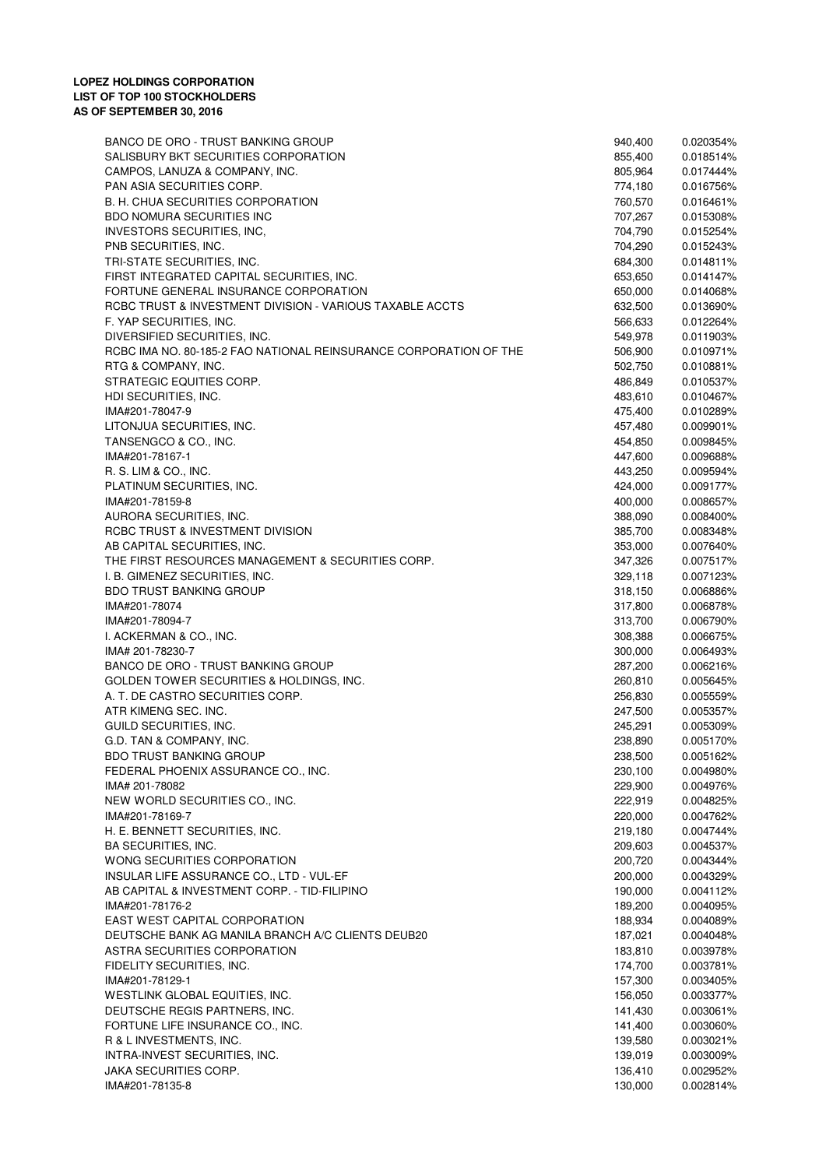| BANCO DE ORO - TRUST BANKING GROUP                                | 940,400 | 0.020354% |
|-------------------------------------------------------------------|---------|-----------|
| SALISBURY BKT SECURITIES CORPORATION                              | 855,400 | 0.018514% |
| CAMPOS, LANUZA & COMPANY, INC.                                    | 805,964 | 0.017444% |
| PAN ASIA SECURITIES CORP.                                         | 774,180 | 0.016756% |
| B. H. CHUA SECURITIES CORPORATION                                 | 760,570 | 0.016461% |
| <b>BDO NOMURA SECURITIES INC</b>                                  | 707,267 | 0.015308% |
| INVESTORS SECURITIES, INC.                                        | 704,790 | 0.015254% |
| PNB SECURITIES, INC.                                              | 704,290 | 0.015243% |
| TRI-STATE SECURITIES, INC.                                        | 684,300 | 0.014811% |
| FIRST INTEGRATED CAPITAL SECURITIES, INC.                         | 653,650 | 0.014147% |
| FORTUNE GENERAL INSURANCE CORPORATION                             | 650,000 | 0.014068% |
| RCBC TRUST & INVESTMENT DIVISION - VARIOUS TAXABLE ACCTS          | 632,500 | 0.013690% |
| F. YAP SECURITIES, INC.                                           | 566,633 | 0.012264% |
| DIVERSIFIED SECURITIES, INC.                                      | 549,978 | 0.011903% |
| RCBC IMA NO. 80-185-2 FAO NATIONAL REINSURANCE CORPORATION OF THE | 506,900 | 0.010971% |
| RTG & COMPANY, INC.                                               | 502,750 | 0.010881% |
| STRATEGIC EQUITIES CORP.                                          | 486,849 | 0.010537% |
| HDI SECURITIES, INC.                                              | 483,610 | 0.010467% |
| IMA#201-78047-9                                                   | 475,400 | 0.010289% |
| LITONJUA SECURITIES, INC.                                         | 457,480 | 0.009901% |
| TANSENGCO & CO., INC.                                             | 454,850 | 0.009845% |
| IMA#201-78167-1                                                   | 447,600 | 0.009688% |
| R. S. LIM & CO., INC.                                             | 443,250 | 0.009594% |
| PLATINUM SECURITIES, INC.                                         | 424,000 | 0.009177% |
| IMA#201-78159-8                                                   | 400,000 | 0.008657% |
| AURORA SECURITIES, INC.                                           | 388,090 | 0.008400% |
| RCBC TRUST & INVESTMENT DIVISION                                  | 385,700 | 0.008348% |
| AB CAPITAL SECURITIES, INC.                                       | 353,000 | 0.007640% |
| THE FIRST RESOURCES MANAGEMENT & SECURITIES CORP.                 | 347,326 | 0.007517% |
| I. B. GIMENEZ SECURITIES, INC.                                    | 329,118 | 0.007123% |
| <b>BDO TRUST BANKING GROUP</b>                                    | 318,150 | 0.006886% |
| IMA#201-78074                                                     | 317,800 | 0.006878% |
| IMA#201-78094-7                                                   | 313,700 | 0.006790% |
| I. ACKERMAN & CO., INC.                                           | 308,388 | 0.006675% |
| IMA# 201-78230-7                                                  | 300,000 | 0.006493% |
| BANCO DE ORO - TRUST BANKING GROUP                                | 287,200 | 0.006216% |
| GOLDEN TOWER SECURITIES & HOLDINGS, INC.                          | 260,810 | 0.005645% |
| A. T. DE CASTRO SECURITIES CORP.                                  | 256,830 | 0.005559% |
| ATR KIMENG SEC. INC.                                              | 247,500 | 0.005357% |
| GUILD SECURITIES, INC.                                            | 245,291 | 0.005309% |
| G.D. TAN & COMPANY, INC.                                          | 238,890 | 0.005170% |
| <b>BDO TRUST BANKING GROUP</b>                                    | 238,500 | 0.005162% |
| FEDERAL PHOENIX ASSURANCE CO., INC.                               | 230,100 | 0.004980% |
| IMA# 201-78082                                                    | 229,900 | 0.004976% |
| NEW WORLD SECURITIES CO., INC.                                    | 222,919 | 0.004825% |
| IMA#201-78169-7                                                   | 220,000 | 0.004762% |
| H. E. BENNETT SECURITIES, INC.                                    | 219,180 | 0.004744% |
| BA SECURITIES, INC.                                               | 209,603 | 0.004537% |
| WONG SECURITIES CORPORATION                                       | 200,720 | 0.004344% |
| INSULAR LIFE ASSURANCE CO., LTD - VUL-EF                          | 200,000 | 0.004329% |
| AB CAPITAL & INVESTMENT CORP. - TID-FILIPINO                      | 190,000 | 0.004112% |
| IMA#201-78176-2                                                   | 189,200 | 0.004095% |
| EAST WEST CAPITAL CORPORATION                                     | 188,934 | 0.004089% |
| DEUTSCHE BANK AG MANILA BRANCH A/C CLIENTS DEUB20                 | 187,021 | 0.004048% |
| ASTRA SECURITIES CORPORATION                                      | 183,810 | 0.003978% |
| FIDELITY SECURITIES, INC.                                         | 174,700 | 0.003781% |
| IMA#201-78129-1                                                   | 157,300 | 0.003405% |
| WESTLINK GLOBAL EQUITIES, INC.                                    | 156,050 | 0.003377% |
| DEUTSCHE REGIS PARTNERS, INC.                                     | 141,430 | 0.003061% |
| FORTUNE LIFE INSURANCE CO., INC.                                  | 141,400 | 0.003060% |
| R & L INVESTMENTS, INC.                                           | 139,580 | 0.003021% |
| INTRA-INVEST SECURITIES, INC.                                     | 139,019 | 0.003009% |
| JAKA SECURITIES CORP.                                             | 136,410 | 0.002952% |
| IMA#201-78135-8                                                   | 130,000 | 0.002814% |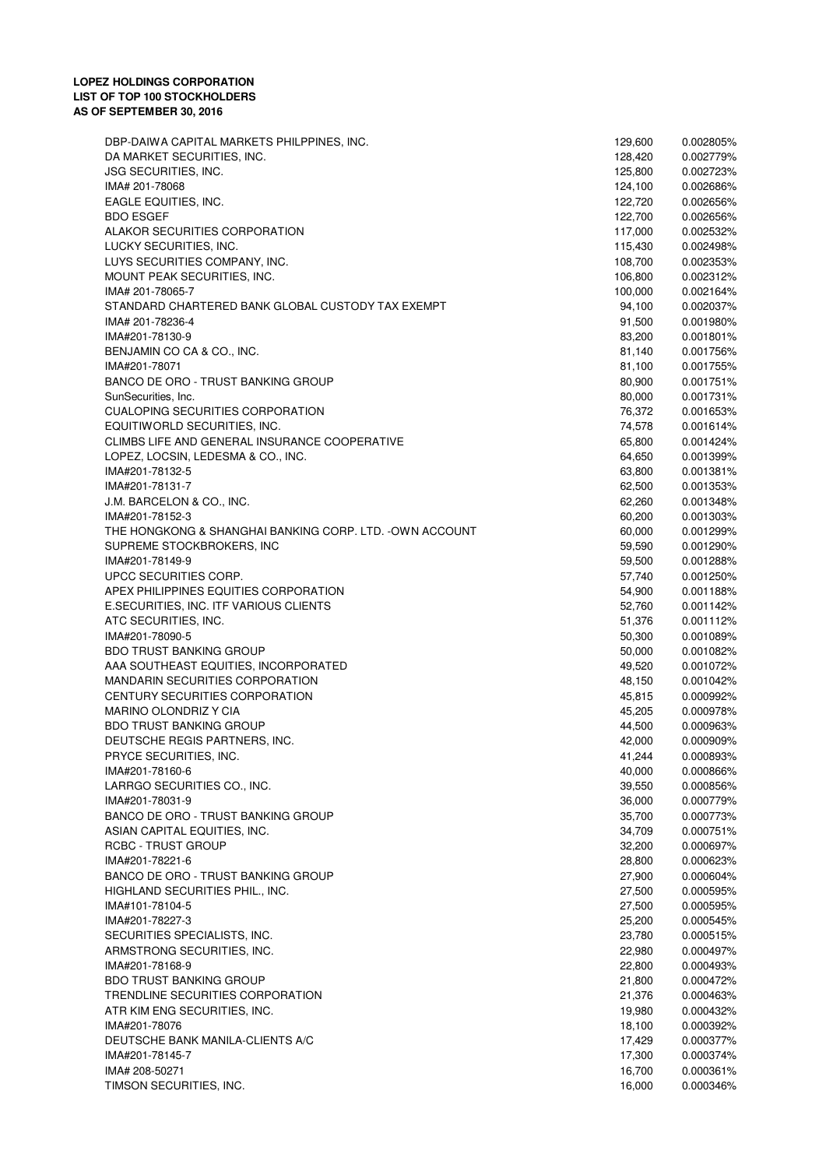| DBP-DAIWA CAPITAL MARKETS PHILPPINES, INC.              | 129,600 | 0.002805% |
|---------------------------------------------------------|---------|-----------|
| DA MARKET SECURITIES, INC.                              | 128,420 | 0.002779% |
| <b>JSG SECURITIES, INC.</b>                             | 125,800 | 0.002723% |
| IMA# 201-78068                                          | 124,100 | 0.002686% |
| EAGLE EQUITIES, INC.                                    | 122,720 | 0.002656% |
| <b>BDO ESGEF</b>                                        | 122,700 | 0.002656% |
| ALAKOR SECURITIES CORPORATION                           | 117,000 | 0.002532% |
| LUCKY SECURITIES, INC.                                  | 115,430 | 0.002498% |
| LUYS SECURITIES COMPANY, INC.                           | 108,700 | 0.002353% |
| MOUNT PEAK SECURITIES, INC.                             | 106,800 | 0.002312% |
| IMA# 201-78065-7                                        | 100,000 | 0.002164% |
| STANDARD CHARTERED BANK GLOBAL CUSTODY TAX EXEMPT       | 94,100  | 0.002037% |
| IMA# 201-78236-4                                        | 91,500  | 0.001980% |
| IMA#201-78130-9                                         | 83,200  | 0.001801% |
| BENJAMIN CO CA & CO., INC.                              | 81,140  | 0.001756% |
| IMA#201-78071                                           | 81,100  | 0.001755% |
| BANCO DE ORO - TRUST BANKING GROUP                      | 80,900  | 0.001751% |
| SunSecurities, Inc.                                     | 80,000  | 0.001731% |
| <b>CUALOPING SECURITIES CORPORATION</b>                 | 76,372  | 0.001653% |
| EQUITIWORLD SECURITIES, INC.                            | 74,578  | 0.001614% |
| CLIMBS LIFE AND GENERAL INSURANCE COOPERATIVE           | 65,800  | 0.001424% |
| LOPEZ, LOCSIN, LEDESMA & CO., INC.                      | 64,650  | 0.001399% |
| IMA#201-78132-5                                         |         |           |
|                                                         | 63,800  | 0.001381% |
| IMA#201-78131-7                                         | 62,500  | 0.001353% |
| J.M. BARCELON & CO., INC.                               | 62,260  | 0.001348% |
| IMA#201-78152-3                                         | 60,200  | 0.001303% |
| THE HONGKONG & SHANGHAI BANKING CORP. LTD. -OWN ACCOUNT | 60,000  | 0.001299% |
| SUPREME STOCKBROKERS, INC                               | 59,590  | 0.001290% |
| IMA#201-78149-9                                         | 59,500  | 0.001288% |
| UPCC SECURITIES CORP.                                   | 57,740  | 0.001250% |
| APEX PHILIPPINES EQUITIES CORPORATION                   | 54,900  | 0.001188% |
| E.SECURITIES, INC. ITF VARIOUS CLIENTS                  | 52,760  | 0.001142% |
| ATC SECURITIES, INC.                                    | 51,376  | 0.001112% |
| IMA#201-78090-5                                         | 50,300  | 0.001089% |
| <b>BDO TRUST BANKING GROUP</b>                          | 50,000  | 0.001082% |
| AAA SOUTHEAST EQUITIES, INCORPORATED                    | 49,520  | 0.001072% |
| <b>MANDARIN SECURITIES CORPORATION</b>                  | 48,150  | 0.001042% |
| CENTURY SECURITIES CORPORATION                          | 45,815  | 0.000992% |
| MARINO OLONDRIZ Y CIA                                   | 45,205  | 0.000978% |
| <b>BDO TRUST BANKING GROUP</b>                          | 44,500  | 0.000963% |
| DEUTSCHE REGIS PARTNERS, INC.                           | 42,000  | 0.000909% |
| PRYCE SECURITIES, INC.                                  | 41,244  | 0.000893% |
| IMA#201-78160-6                                         | 40,000  | 0.000866% |
| LARRGO SECURITIES CO., INC.                             | 39,550  | 0.000856% |
| IMA#201-78031-9                                         | 36,000  | 0.000779% |
| BANCO DE ORO - TRUST BANKING GROUP                      | 35,700  | 0.000773% |
| ASIAN CAPITAL EQUITIES, INC.                            | 34,709  | 0.000751% |
| <b>RCBC - TRUST GROUP</b>                               | 32,200  | 0.000697% |
| IMA#201-78221-6                                         | 28,800  | 0.000623% |
| BANCO DE ORO - TRUST BANKING GROUP                      | 27,900  | 0.000604% |
| HIGHLAND SECURITIES PHIL., INC.                         | 27,500  | 0.000595% |
| IMA#101-78104-5                                         | 27,500  | 0.000595% |
| IMA#201-78227-3                                         | 25,200  | 0.000545% |
| SECURITIES SPECIALISTS, INC.                            | 23,780  | 0.000515% |
| ARMSTRONG SECURITIES, INC.                              | 22,980  | 0.000497% |
| IMA#201-78168-9                                         | 22,800  | 0.000493% |
| <b>BDO TRUST BANKING GROUP</b>                          | 21,800  | 0.000472% |
| TRENDLINE SECURITIES CORPORATION                        | 21,376  | 0.000463% |
| ATR KIM ENG SECURITIES, INC.                            | 19,980  | 0.000432% |
| IMA#201-78076                                           | 18,100  | 0.000392% |
| DEUTSCHE BANK MANILA-CLIENTS A/C                        | 17,429  | 0.000377% |
| IMA#201-78145-7                                         | 17,300  | 0.000374% |
| IMA# 208-50271                                          | 16,700  | 0.000361% |
| TIMSON SECURITIES, INC.                                 | 16,000  | 0.000346% |
|                                                         |         |           |